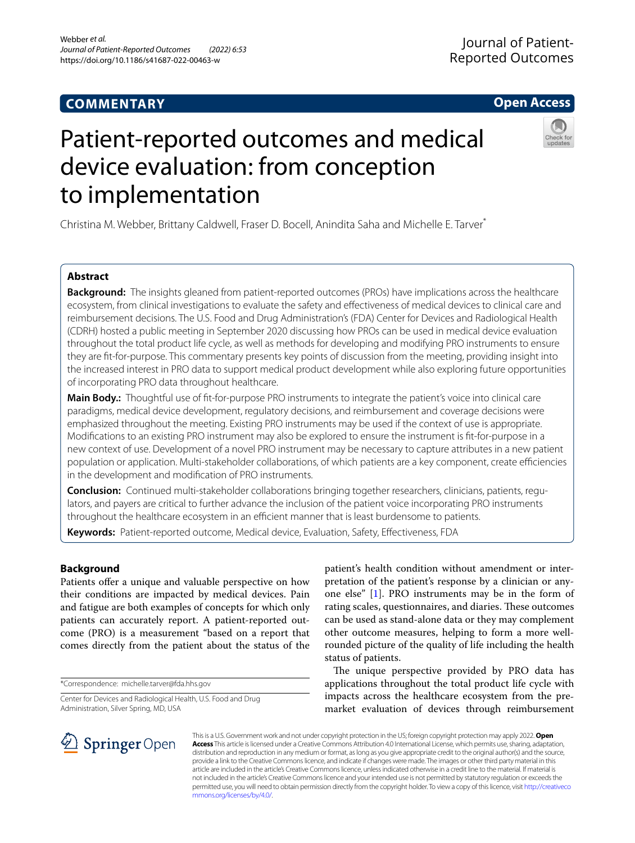# **COMMENTARY**

# **Open Access**

# Patient-reported outcomes and medical device evaluation: from conception to implementation

Christina M. Webber, Brittany Caldwell, Fraser D. Bocell, Anindita Saha and Michelle E. Tarver\*

# **Abstract**

**Background:** The insights gleaned from patient-reported outcomes (PROs) have implications across the healthcare ecosystem, from clinical investigations to evaluate the safety and effectiveness of medical devices to clinical care and reimbursement decisions. The U.S. Food and Drug Administration's (FDA) Center for Devices and Radiological Health (CDRH) hosted a public meeting in September 2020 discussing how PROs can be used in medical device evaluation throughout the total product life cycle, as well as methods for developing and modifying PRO instruments to ensure they are ft-for-purpose. This commentary presents key points of discussion from the meeting, providing insight into the increased interest in PRO data to support medical product development while also exploring future opportunities of incorporating PRO data throughout healthcare.

**Main Body.:** Thoughtful use of ft-for-purpose PRO instruments to integrate the patient's voice into clinical care paradigms, medical device development, regulatory decisions, and reimbursement and coverage decisions were emphasized throughout the meeting. Existing PRO instruments may be used if the context of use is appropriate. Modifcations to an existing PRO instrument may also be explored to ensure the instrument is ft-for-purpose in a new context of use. Development of a novel PRO instrument may be necessary to capture attributes in a new patient population or application. Multi-stakeholder collaborations, of which patients are a key component, create efficiencies in the development and modifcation of PRO instruments.

**Conclusion:** Continued multi-stakeholder collaborations bringing together researchers, clinicians, patients, regulators, and payers are critical to further advance the inclusion of the patient voice incorporating PRO instruments throughout the healthcare ecosystem in an efficient manner that is least burdensome to patients.

**Keywords:** Patient-reported outcome, Medical device, Evaluation, Safety, Efectiveness, FDA

# **Background**

Patients offer a unique and valuable perspective on how their conditions are impacted by medical devices. Pain and fatigue are both examples of concepts for which only patients can accurately report. A patient-reported outcome (PRO) is a measurement "based on a report that comes directly from the patient about the status of the

\*Correspondence: michelle.tarver@fda.hhs.gov

Center for Devices and Radiological Health, U.S. Food and Drug Administration, Silver Spring, MD, USA

patient's health condition without amendment or interpretation of the patient's response by a clinician or anyone else" [\[1](#page-4-0)]. PRO instruments may be in the form of rating scales, questionnaires, and diaries. These outcomes can be used as stand-alone data or they may complement other outcome measures, helping to form a more wellrounded picture of the quality of life including the health status of patients.

The unique perspective provided by PRO data has applications throughout the total product life cycle with impacts across the healthcare ecosystem from the premarket evaluation of devices through reimbursement



This is a U.S. Government work and not under copyright protection in the US; foreign copyright protection may apply 2022. **Open Access** This article is licensed under a Creative Commons Attribution 4.0 International License, which permits use, sharing, adaptation, distribution and reproduction in any medium or format, as long as you give appropriate credit to the original author(s) and the source, provide a link to the Creative Commons licence, and indicate if changes were made. The images or other third party material in this article are included in the article's Creative Commons licence, unless indicated otherwise in a credit line to the material. If material is not included in the article's Creative Commons licence and your intended use is not permitted by statutory regulation or exceeds the permitted use, you will need to obtain permission directly from the copyright holder. To view a copy of this licence, visit [http://creativeco](http://creativecommons.org/licenses/by/4.0/) [mmons.org/licenses/by/4.0/.](http://creativecommons.org/licenses/by/4.0/)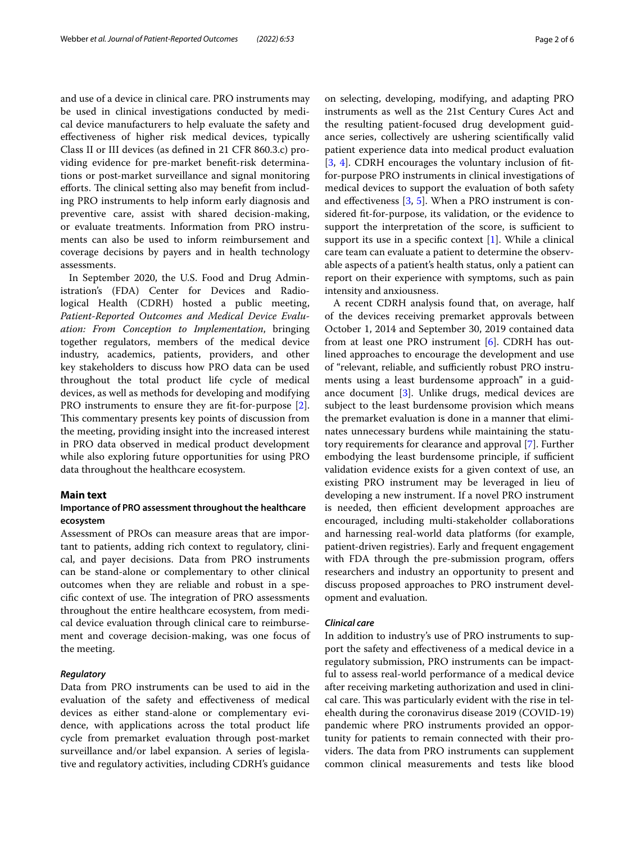and use of a device in clinical care. PRO instruments may be used in clinical investigations conducted by medical device manufacturers to help evaluate the safety and efectiveness of higher risk medical devices, typically Class II or III devices (as defned in 21 CFR 860.3.c) providing evidence for pre-market beneft-risk determinations or post-market surveillance and signal monitoring efforts. The clinical setting also may benefit from including PRO instruments to help inform early diagnosis and preventive care, assist with shared decision-making, or evaluate treatments. Information from PRO instruments can also be used to inform reimbursement and coverage decisions by payers and in health technology assessments.

In September 2020, the U.S. Food and Drug Administration's (FDA) Center for Devices and Radiological Health (CDRH) hosted a public meeting, *Patient-Reported Outcomes and Medical Device Evaluation: From Conception to Implementation*, bringing together regulators, members of the medical device industry, academics, patients, providers, and other key stakeholders to discuss how PRO data can be used throughout the total product life cycle of medical devices, as well as methods for developing and modifying PRO instruments to ensure they are ft-for-purpose [\[2](#page-4-1)]. This commentary presents key points of discussion from the meeting, providing insight into the increased interest in PRO data observed in medical product development while also exploring future opportunities for using PRO data throughout the healthcare ecosystem.

# **Main text**

# **Importance of PRO assessment throughout the healthcare ecosystem**

Assessment of PROs can measure areas that are important to patients, adding rich context to regulatory, clinical, and payer decisions. Data from PRO instruments can be stand-alone or complementary to other clinical outcomes when they are reliable and robust in a specific context of use. The integration of PRO assessments throughout the entire healthcare ecosystem, from medical device evaluation through clinical care to reimbursement and coverage decision-making, was one focus of the meeting.

# *Regulatory*

Data from PRO instruments can be used to aid in the evaluation of the safety and efectiveness of medical devices as either stand-alone or complementary evidence, with applications across the total product life cycle from premarket evaluation through post-market surveillance and/or label expansion. A series of legislative and regulatory activities, including CDRH's guidance on selecting, developing, modifying, and adapting PRO instruments as well as the 21st Century Cures Act and the resulting patient-focused drug development guidance series, collectively are ushering scientifcally valid patient experience data into medical product evaluation [[3,](#page-4-2) [4\]](#page-4-3). CDRH encourages the voluntary inclusion of ftfor-purpose PRO instruments in clinical investigations of medical devices to support the evaluation of both safety and efectiveness [[3,](#page-4-2) [5\]](#page-4-4). When a PRO instrument is considered ft-for-purpose, its validation, or the evidence to support the interpretation of the score, is sufficient to support its use in a specifc context [[1\]](#page-4-0). While a clinical care team can evaluate a patient to determine the observable aspects of a patient's health status, only a patient can report on their experience with symptoms, such as pain intensity and anxiousness.

A recent CDRH analysis found that, on average, half of the devices receiving premarket approvals between October 1, 2014 and September 30, 2019 contained data from at least one PRO instrument  $[6]$  $[6]$ . CDRH has outlined approaches to encourage the development and use of "relevant, reliable, and sufficiently robust PRO instruments using a least burdensome approach" in a guidance document [[3\]](#page-4-2). Unlike drugs, medical devices are subject to the least burdensome provision which means the premarket evaluation is done in a manner that eliminates unnecessary burdens while maintaining the statutory requirements for clearance and approval [[7\]](#page-5-1). Further embodying the least burdensome principle, if sufficient validation evidence exists for a given context of use, an existing PRO instrument may be leveraged in lieu of developing a new instrument. If a novel PRO instrument is needed, then efficient development approaches are encouraged, including multi-stakeholder collaborations and harnessing real-world data platforms (for example, patient-driven registries). Early and frequent engagement with FDA through the pre-submission program, offers researchers and industry an opportunity to present and discuss proposed approaches to PRO instrument development and evaluation.

# *Clinical care*

In addition to industry's use of PRO instruments to support the safety and efectiveness of a medical device in a regulatory submission, PRO instruments can be impactful to assess real-world performance of a medical device after receiving marketing authorization and used in clinical care. This was particularly evident with the rise in telehealth during the coronavirus disease 2019 (COVID-19) pandemic where PRO instruments provided an opportunity for patients to remain connected with their providers. The data from PRO instruments can supplement common clinical measurements and tests like blood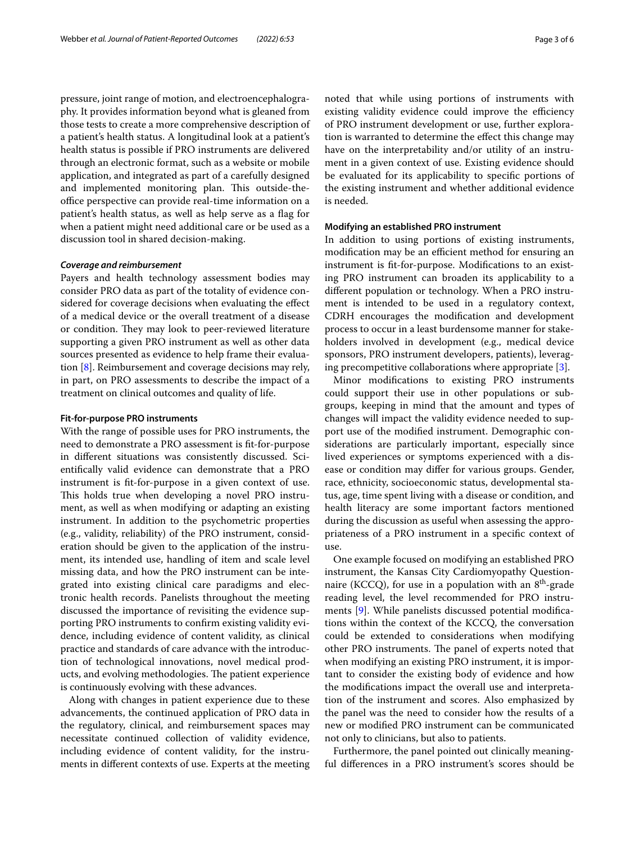pressure, joint range of motion, and electroencephalography. It provides information beyond what is gleaned from those tests to create a more comprehensive description of a patient's health status. A longitudinal look at a patient's health status is possible if PRO instruments are delivered through an electronic format, such as a website or mobile application, and integrated as part of a carefully designed and implemented monitoring plan. This outside-theoffice perspective can provide real-time information on a patient's health status, as well as help serve as a flag for when a patient might need additional care or be used as a discussion tool in shared decision-making.

# *Coverage and reimbursement*

Payers and health technology assessment bodies may consider PRO data as part of the totality of evidence considered for coverage decisions when evaluating the efect of a medical device or the overall treatment of a disease or condition. They may look to peer-reviewed literature supporting a given PRO instrument as well as other data sources presented as evidence to help frame their evaluation [[8\]](#page-5-2). Reimbursement and coverage decisions may rely, in part, on PRO assessments to describe the impact of a treatment on clinical outcomes and quality of life.

# **Fit‑for‑purpose PRO instruments**

With the range of possible uses for PRO instruments, the need to demonstrate a PRO assessment is ft-for-purpose in diferent situations was consistently discussed. Scientifcally valid evidence can demonstrate that a PRO instrument is ft-for-purpose in a given context of use. This holds true when developing a novel PRO instrument, as well as when modifying or adapting an existing instrument. In addition to the psychometric properties (e.g., validity, reliability) of the PRO instrument, consideration should be given to the application of the instrument, its intended use, handling of item and scale level missing data, and how the PRO instrument can be integrated into existing clinical care paradigms and electronic health records. Panelists throughout the meeting discussed the importance of revisiting the evidence supporting PRO instruments to confrm existing validity evidence, including evidence of content validity, as clinical practice and standards of care advance with the introduction of technological innovations, novel medical products, and evolving methodologies. The patient experience is continuously evolving with these advances.

Along with changes in patient experience due to these advancements, the continued application of PRO data in the regulatory, clinical, and reimbursement spaces may necessitate continued collection of validity evidence, including evidence of content validity, for the instruments in diferent contexts of use. Experts at the meeting noted that while using portions of instruments with existing validity evidence could improve the efficiency of PRO instrument development or use, further exploration is warranted to determine the efect this change may have on the interpretability and/or utility of an instrument in a given context of use. Existing evidence should be evaluated for its applicability to specifc portions of the existing instrument and whether additional evidence is needed.

# **Modifying an established PRO instrument**

In addition to using portions of existing instruments, modification may be an efficient method for ensuring an instrument is ft-for-purpose. Modifcations to an existing PRO instrument can broaden its applicability to a diferent population or technology. When a PRO instrument is intended to be used in a regulatory context, CDRH encourages the modifcation and development process to occur in a least burdensome manner for stakeholders involved in development (e.g., medical device sponsors, PRO instrument developers, patients), leveraging precompetitive collaborations where appropriate [\[3](#page-4-2)].

Minor modifcations to existing PRO instruments could support their use in other populations or subgroups, keeping in mind that the amount and types of changes will impact the validity evidence needed to support use of the modifed instrument. Demographic considerations are particularly important, especially since lived experiences or symptoms experienced with a disease or condition may difer for various groups. Gender, race, ethnicity, socioeconomic status, developmental status, age, time spent living with a disease or condition, and health literacy are some important factors mentioned during the discussion as useful when assessing the appropriateness of a PRO instrument in a specifc context of use.

One example focused on modifying an established PRO instrument, the Kansas City Cardiomyopathy Questionnaire (KCCQ), for use in a population with an  $8<sup>th</sup>$ -grade reading level, the level recommended for PRO instruments [\[9](#page-5-3)]. While panelists discussed potential modifcations within the context of the KCCQ, the conversation could be extended to considerations when modifying other PRO instruments. The panel of experts noted that when modifying an existing PRO instrument, it is important to consider the existing body of evidence and how the modifcations impact the overall use and interpretation of the instrument and scores. Also emphasized by the panel was the need to consider how the results of a new or modifed PRO instrument can be communicated not only to clinicians, but also to patients.

Furthermore, the panel pointed out clinically meaningful diferences in a PRO instrument's scores should be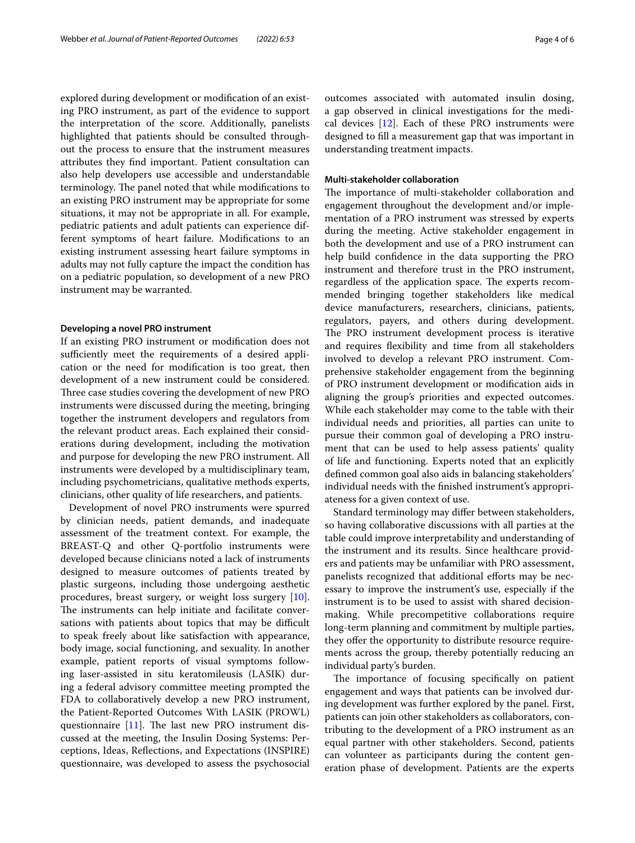explored during development or modifcation of an existing PRO instrument, as part of the evidence to support the interpretation of the score. Additionally, panelists highlighted that patients should be consulted throughout the process to ensure that the instrument measures attributes they fnd important. Patient consultation can also help developers use accessible and understandable terminology. The panel noted that while modifications to an existing PRO instrument may be appropriate for some situations, it may not be appropriate in all. For example, pediatric patients and adult patients can experience different symptoms of heart failure. Modifcations to an existing instrument assessing heart failure symptoms in adults may not fully capture the impact the condition has on a pediatric population, so development of a new PRO instrument may be warranted.

# **Developing a novel PRO instrument**

If an existing PRO instrument or modifcation does not sufficiently meet the requirements of a desired application or the need for modifcation is too great, then development of a new instrument could be considered. Three case studies covering the development of new PRO instruments were discussed during the meeting, bringing together the instrument developers and regulators from the relevant product areas. Each explained their considerations during development, including the motivation and purpose for developing the new PRO instrument. All instruments were developed by a multidisciplinary team, including psychometricians, qualitative methods experts, clinicians, other quality of life researchers, and patients.

Development of novel PRO instruments were spurred by clinician needs, patient demands, and inadequate assessment of the treatment context. For example, the BREAST-Q and other Q-portfolio instruments were developed because clinicians noted a lack of instruments designed to measure outcomes of patients treated by plastic surgeons, including those undergoing aesthetic procedures, breast surgery, or weight loss surgery [\[10](#page-5-4)]. The instruments can help initiate and facilitate conversations with patients about topics that may be difficult to speak freely about like satisfaction with appearance, body image, social functioning, and sexuality. In another example, patient reports of visual symptoms following laser-assisted in situ keratomileusis (LASIK) during a federal advisory committee meeting prompted the FDA to collaboratively develop a new PRO instrument, the Patient-Reported Outcomes With LASIK (PROWL) questionnaire  $[11]$  $[11]$  $[11]$ . The last new PRO instrument discussed at the meeting, the Insulin Dosing Systems: Perceptions, Ideas, Refections, and Expectations (INSPIRE) questionnaire, was developed to assess the psychosocial outcomes associated with automated insulin dosing, a gap observed in clinical investigations for the medical devices  $[12]$  $[12]$ . Each of these PRO instruments were designed to fll a measurement gap that was important in understanding treatment impacts.

# **Multi‑stakeholder collaboration**

The importance of multi-stakeholder collaboration and engagement throughout the development and/or implementation of a PRO instrument was stressed by experts during the meeting. Active stakeholder engagement in both the development and use of a PRO instrument can help build confdence in the data supporting the PRO instrument and therefore trust in the PRO instrument, regardless of the application space. The experts recommended bringing together stakeholders like medical device manufacturers, researchers, clinicians, patients, regulators, payers, and others during development. The PRO instrument development process is iterative and requires fexibility and time from all stakeholders involved to develop a relevant PRO instrument. Comprehensive stakeholder engagement from the beginning of PRO instrument development or modifcation aids in aligning the group's priorities and expected outcomes. While each stakeholder may come to the table with their individual needs and priorities, all parties can unite to pursue their common goal of developing a PRO instrument that can be used to help assess patients' quality of life and functioning. Experts noted that an explicitly defned common goal also aids in balancing stakeholders' individual needs with the fnished instrument's appropriateness for a given context of use.

Standard terminology may difer between stakeholders, so having collaborative discussions with all parties at the table could improve interpretability and understanding of the instrument and its results. Since healthcare providers and patients may be unfamiliar with PRO assessment, panelists recognized that additional eforts may be necessary to improve the instrument's use, especially if the instrument is to be used to assist with shared decisionmaking. While precompetitive collaborations require long-term planning and commitment by multiple parties, they offer the opportunity to distribute resource requirements across the group, thereby potentially reducing an individual party's burden.

The importance of focusing specifically on patient engagement and ways that patients can be involved during development was further explored by the panel. First, patients can join other stakeholders as collaborators, contributing to the development of a PRO instrument as an equal partner with other stakeholders. Second, patients can volunteer as participants during the content generation phase of development. Patients are the experts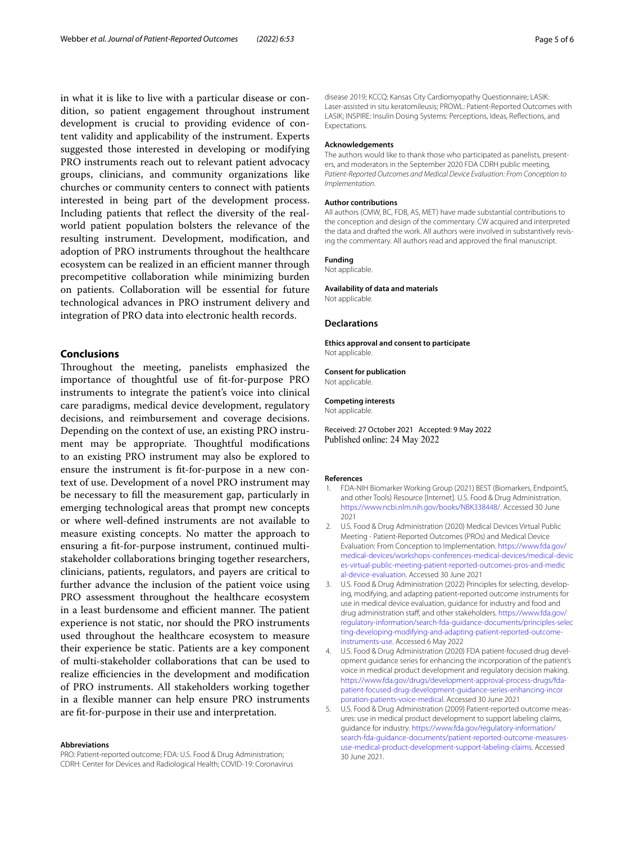in what it is like to live with a particular disease or condition, so patient engagement throughout instrument development is crucial to providing evidence of content validity and applicability of the instrument. Experts suggested those interested in developing or modifying PRO instruments reach out to relevant patient advocacy groups, clinicians, and community organizations like churches or community centers to connect with patients interested in being part of the development process. Including patients that refect the diversity of the realworld patient population bolsters the relevance of the resulting instrument. Development, modifcation, and adoption of PRO instruments throughout the healthcare ecosystem can be realized in an efficient manner through precompetitive collaboration while minimizing burden on patients. Collaboration will be essential for future technological advances in PRO instrument delivery and integration of PRO data into electronic health records.

# **Conclusions**

Throughout the meeting, panelists emphasized the importance of thoughtful use of ft-for-purpose PRO instruments to integrate the patient's voice into clinical care paradigms, medical device development, regulatory decisions, and reimbursement and coverage decisions. Depending on the context of use, an existing PRO instrument may be appropriate. Thoughtful modifications to an existing PRO instrument may also be explored to ensure the instrument is ft-for-purpose in a new context of use. Development of a novel PRO instrument may be necessary to fll the measurement gap, particularly in emerging technological areas that prompt new concepts or where well-defned instruments are not available to measure existing concepts. No matter the approach to ensuring a ft-for-purpose instrument, continued multistakeholder collaborations bringing together researchers, clinicians, patients, regulators, and payers are critical to further advance the inclusion of the patient voice using PRO assessment throughout the healthcare ecosystem in a least burdensome and efficient manner. The patient experience is not static, nor should the PRO instruments used throughout the healthcare ecosystem to measure their experience be static. Patients are a key component of multi-stakeholder collaborations that can be used to realize efficiencies in the development and modification of PRO instruments. All stakeholders working together in a fexible manner can help ensure PRO instruments are ft-for-purpose in their use and interpretation.

#### **Abbreviations**

PRO: Patient-reported outcome; FDA: U.S. Food & Drug Administration; CDRH: Center for Devices and Radiological Health; COVID-19: Coronavirus disease 2019; KCCQ: Kansas City Cardiomyopathy Questionnaire; LASIK: Laser-assisted in situ keratomileusis; PROWL: Patient-Reported Outcomes with LASIK; INSPIRE: Insulin Dosing Systems: Perceptions, Ideas, Refections, and Expectations.

#### **Acknowledgements**

The authors would like to thank those who participated as panelists, presenters, and moderators in the September 2020 FDA CDRH public meeting, *Patient-Reported Outcomes and Medical Device Evaluation: From Conception to Implementation*.

# **Author contributions**

All authors (CMW, BC, FDB, AS, MET) have made substantial contributions to the conception and design of the commentary. CW acquired and interpreted the data and drafted the work. All authors were involved in substantively revising the commentary. All authors read and approved the fnal manuscript.

# **Funding**

Not applicable.

# **Availability of data and materials**

Not applicable.

# **Declarations**

**Ethics approval and consent to participate** Not applicable.

#### **Consent for publication**

Not applicable.

# **Competing interests**

Not applicable.

Received: 27 October 2021 Accepted: 9 May 2022 Published online: 24 May 2022

#### **References**

- <span id="page-4-0"></span>1. FDA-NIH Biomarker Working Group (2021) BEST (Biomarkers, EndpointS, and other Tools) Resource [Internet]. U.S. Food & Drug Administration. <https://www.ncbi.nlm.nih.gov/books/NBK338448/>. Accessed 30 June 2021
- <span id="page-4-1"></span>2. U.S. Food & Drug Administration (2020) Medical Devices Virtual Public Meeting - Patient-Reported Outcomes (PROs) and Medical Device Evaluation: From Conception to Implementation. [https://www.fda.gov/](https://www.fda.gov/medical-devices/workshops-conferences-medical-devices/medical-devices-virtual-public-meeting-patient-reported-outcomes-pros-and-medical-device-evaluation) [medical-devices/workshops-conferences-medical-devices/medical-devic](https://www.fda.gov/medical-devices/workshops-conferences-medical-devices/medical-devices-virtual-public-meeting-patient-reported-outcomes-pros-and-medical-device-evaluation) [es-virtual-public-meeting-patient-reported-outcomes-pros-and-medic](https://www.fda.gov/medical-devices/workshops-conferences-medical-devices/medical-devices-virtual-public-meeting-patient-reported-outcomes-pros-and-medical-device-evaluation) [al-device-evaluation.](https://www.fda.gov/medical-devices/workshops-conferences-medical-devices/medical-devices-virtual-public-meeting-patient-reported-outcomes-pros-and-medical-device-evaluation) Accessed 30 June 2021
- <span id="page-4-2"></span>3. U.S. Food & Drug Administration (2022) Principles for selecting, developing, modifying, and adapting patient-reported outcome instruments for use in medical device evaluation, guidance for industry and food and drug administration staff, and other stakeholders. [https://www.fda.gov/](https://www.fda.gov/regulatory-information/search-fda-guidance-documents/principles-selecting-developing-modifying-and-adapting-patient-reported-outcome-instruments-use) [regulatory-information/search-fda-guidance-documents/principles-selec](https://www.fda.gov/regulatory-information/search-fda-guidance-documents/principles-selecting-developing-modifying-and-adapting-patient-reported-outcome-instruments-use) [ting-developing-modifying-and-adapting-patient-reported-outcome](https://www.fda.gov/regulatory-information/search-fda-guidance-documents/principles-selecting-developing-modifying-and-adapting-patient-reported-outcome-instruments-use)[instruments-use](https://www.fda.gov/regulatory-information/search-fda-guidance-documents/principles-selecting-developing-modifying-and-adapting-patient-reported-outcome-instruments-use). Accessed 6 May 2022
- <span id="page-4-3"></span>4. U.S. Food & Drug Administration (2020) FDA patient-focused drug development guidance series for enhancing the incorporation of the patient's voice in medical product development and regulatory decision making. [https://www.fda.gov/drugs/development-approval-process-drugs/fda](https://www.fda.gov/drugs/development-approval-process-drugs/fda-patient-focused-drug-development-guidance-series-enhancing-incorporation-patients-voice-medical)[patient-focused-drug-development-guidance-series-enhancing-incor](https://www.fda.gov/drugs/development-approval-process-drugs/fda-patient-focused-drug-development-guidance-series-enhancing-incorporation-patients-voice-medical) [poration-patients-voice-medical.](https://www.fda.gov/drugs/development-approval-process-drugs/fda-patient-focused-drug-development-guidance-series-enhancing-incorporation-patients-voice-medical) Accessed 30 June 2021
- <span id="page-4-4"></span>5. U.S. Food & Drug Administration (2009) Patient-reported outcome measures: use in medical product development to support labeling claims, guidance for industry. [https://www.fda.gov/regulatory-information/](https://www.fda.gov/regulatory-information/search-fda-guidance-documents/patient-reported-outcome-measures-use-medical-product-development-support-labeling-claims) [search-fda-guidance-documents/patient-reported-outcome-measures](https://www.fda.gov/regulatory-information/search-fda-guidance-documents/patient-reported-outcome-measures-use-medical-product-development-support-labeling-claims)[use-medical-product-development-support-labeling-claims.](https://www.fda.gov/regulatory-information/search-fda-guidance-documents/patient-reported-outcome-measures-use-medical-product-development-support-labeling-claims) Accessed 30 June 2021.